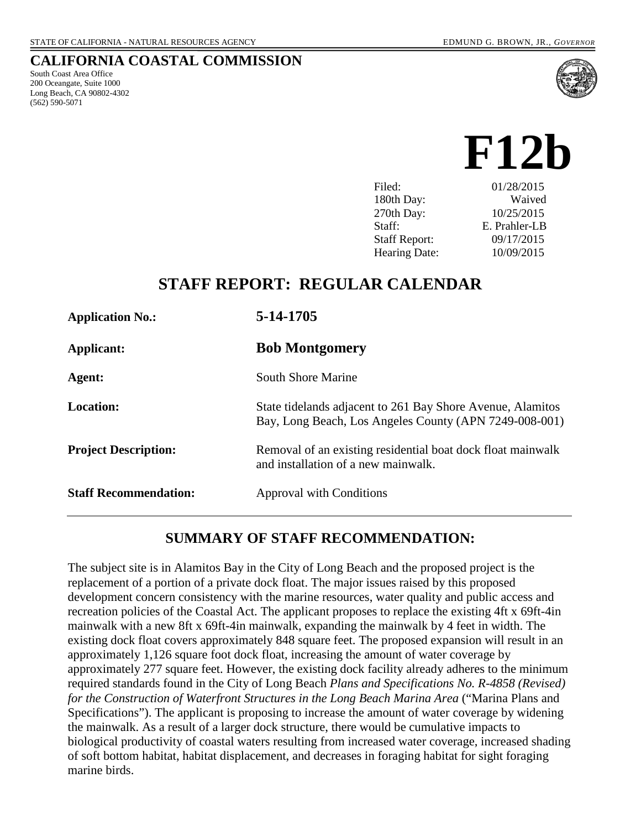## **CALIFORNIA COASTAL COMMISSION**

South Coast Area Office 200 Oceangate, Suite 1000 Long Beach, CA 90802-4302 (562) 590-5071



**F12b** 

Filed: 01/28/2015 180th Day: Waived 270th Day: 10/25/2015 Staff: E. Prahler-LB Staff Report: 09/17/2015 Hearing Date: 10/09/2015

# **STAFF REPORT: REGULAR CALENDAR**

| <b>Application No.:</b>      | 5-14-1705                                                                                                            |
|------------------------------|----------------------------------------------------------------------------------------------------------------------|
| Applicant:                   | <b>Bob Montgomery</b>                                                                                                |
| Agent:                       | <b>South Shore Marine</b>                                                                                            |
| <b>Location:</b>             | State tidelands adjacent to 261 Bay Shore Avenue, Alamitos<br>Bay, Long Beach, Los Angeles County (APN 7249-008-001) |
| <b>Project Description:</b>  | Removal of an existing residential boat dock float mainwalk<br>and installation of a new mainwalk.                   |
| <b>Staff Recommendation:</b> | <b>Approval with Conditions</b>                                                                                      |

# **SUMMARY OF STAFF RECOMMENDATION:**

The subject site is in Alamitos Bay in the City of Long Beach and the proposed project is the replacement of a portion of a private dock float. The major issues raised by this proposed development concern consistency with the marine resources, water quality and public access and recreation policies of the Coastal Act. The applicant proposes to replace the existing 4ft x 69ft-4in mainwalk with a new 8ft x 69ft-4in mainwalk, expanding the mainwalk by 4 feet in width. The existing dock float covers approximately 848 square feet. The proposed expansion will result in an approximately 1,126 square foot dock float, increasing the amount of water coverage by approximately 277 square feet. However, the existing dock facility already adheres to the minimum required standards found in the City of Long Beach *Plans and Specifications No. R-4858 (Revised) for the Construction of Waterfront Structures in the Long Beach Marina Area* ("Marina Plans and Specifications"). The applicant is proposing to increase the amount of water coverage by widening the mainwalk. As a result of a larger dock structure, there would be cumulative impacts to biological productivity of coastal waters resulting from increased water coverage, increased shading of soft bottom habitat, habitat displacement, and decreases in foraging habitat for sight foraging marine birds.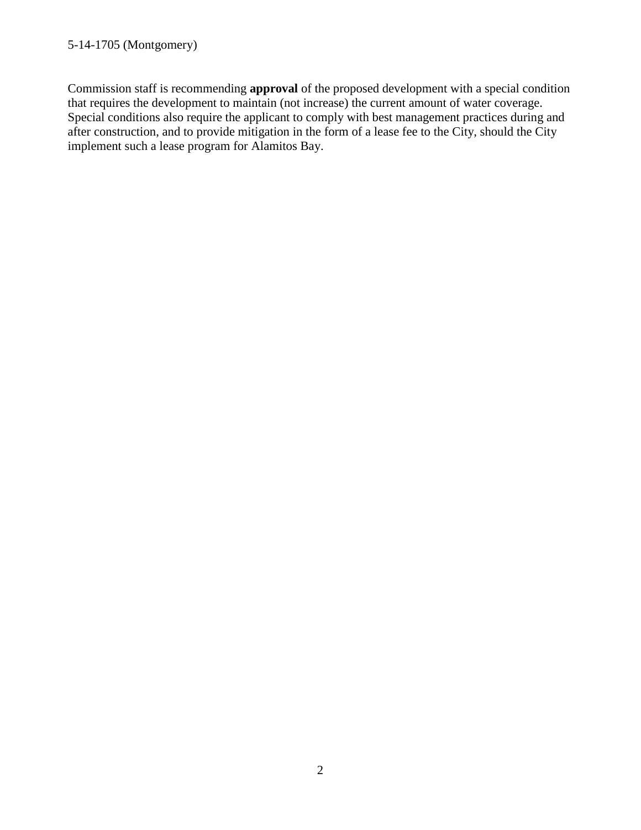### 5-14-1705 (Montgomery)

Commission staff is recommending **approval** of the proposed development with a special condition that requires the development to maintain (not increase) the current amount of water coverage. Special conditions also require the applicant to comply with best management practices during and after construction, and to provide mitigation in the form of a lease fee to the City, should the City implement such a lease program for Alamitos Bay.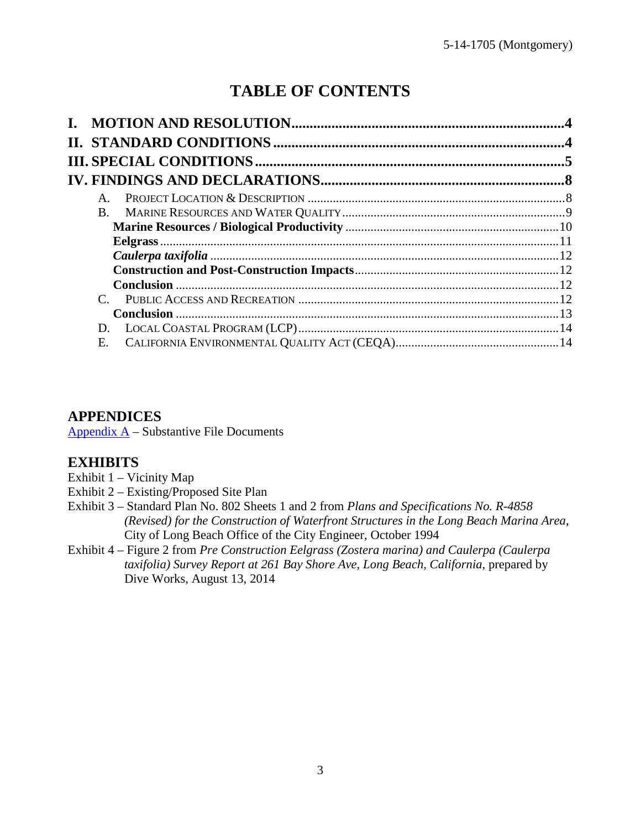# **TABLE OF CONTENTS**

| $A_{\cdot}$ |  |
|-------------|--|
| $B_{-}$     |  |
|             |  |
|             |  |
|             |  |
|             |  |
|             |  |
|             |  |
|             |  |
| D.          |  |
| E.          |  |

# **APPENDICES**

Appendix  $A -$  Substantive File Documents

# **EXHIBITS**

- [Exhibit 1 Vicinity Map](#page-14-0)
- [Exhibit 2 Existing/Proposed Site Plan](#page-16-0)
- Exhibit 3 Standard Plan No. 802 Sheets 1 and 2 from *Plans and Specifications No. R-4858 [\(Revised\) for the Construction of Waterfront Structures in the Long Beach Marina Area](#page-17-0)*, City of Long Beach Office of the City Engineer, October 1994
- Exhibit 4 Figure 2 from *Pre Construction Eelgrass (Zostera marina) and Caulerpa (Caulerpa [taxifolia\) Survey Report at 261 Bay Shore Ave, Long Beach, California](#page-19-0)*, prepared by Dive Works, August 13, 2014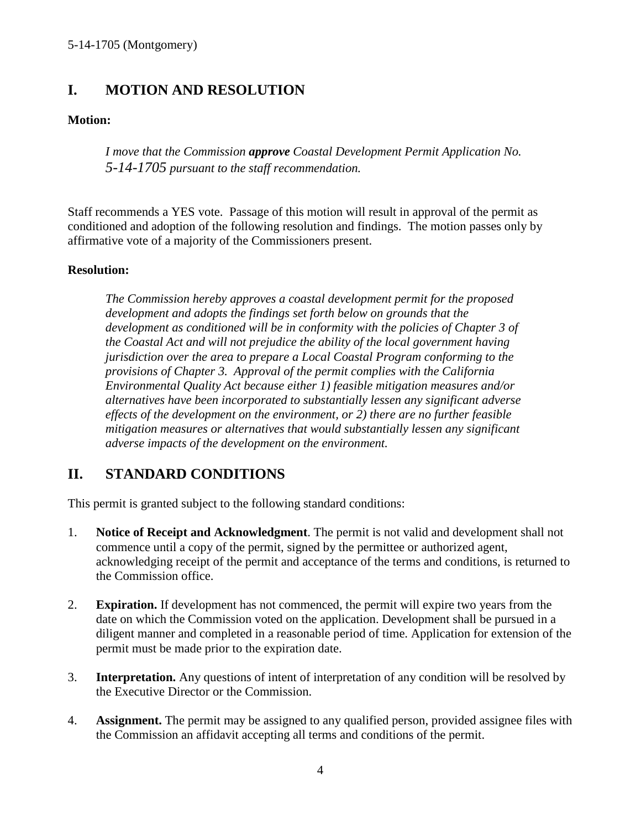# <span id="page-3-0"></span>**I. MOTION AND RESOLUTION**

## **Motion:**

*I move that the Commission approve Coastal Development Permit Application No. 5-14-1705 pursuant to the staff recommendation.*

Staff recommends a YES vote. Passage of this motion will result in approval of the permit as conditioned and adoption of the following resolution and findings. The motion passes only by affirmative vote of a majority of the Commissioners present.

## **Resolution:**

*The Commission hereby approves a coastal development permit for the proposed development and adopts the findings set forth below on grounds that the development as conditioned will be in conformity with the policies of Chapter 3 of the Coastal Act and will not prejudice the ability of the local government having jurisdiction over the area to prepare a Local Coastal Program conforming to the provisions of Chapter 3. Approval of the permit complies with the California Environmental Quality Act because either 1) feasible mitigation measures and/or alternatives have been incorporated to substantially lessen any significant adverse effects of the development on the environment, or 2) there are no further feasible mitigation measures or alternatives that would substantially lessen any significant adverse impacts of the development on the environment.* 

# <span id="page-3-1"></span>**II. STANDARD CONDITIONS**

This permit is granted subject to the following standard conditions:

- 1. **Notice of Receipt and Acknowledgment**. The permit is not valid and development shall not commence until a copy of the permit, signed by the permittee or authorized agent, acknowledging receipt of the permit and acceptance of the terms and conditions, is returned to the Commission office.
- 2. **Expiration.** If development has not commenced, the permit will expire two years from the date on which the Commission voted on the application. Development shall be pursued in a diligent manner and completed in a reasonable period of time. Application for extension of the permit must be made prior to the expiration date.
- 3. **Interpretation.** Any questions of intent of interpretation of any condition will be resolved by the Executive Director or the Commission.
- 4. **Assignment.** The permit may be assigned to any qualified person, provided assignee files with the Commission an affidavit accepting all terms and conditions of the permit.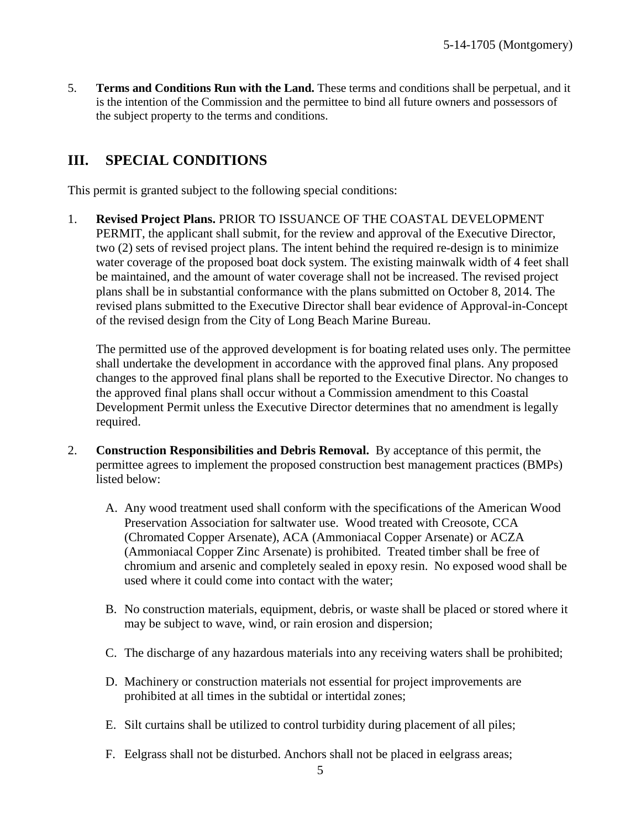<span id="page-4-1"></span>5. **Terms and Conditions Run with the Land.** These terms and conditions shall be perpetual, and it is the intention of the Commission and the permittee to bind all future owners and possessors of the subject property to the terms and conditions.

# <span id="page-4-0"></span>**III. SPECIAL CONDITIONS**

This permit is granted subject to the following special conditions:

1. **Revised Project Plans.** PRIOR TO ISSUANCE OF THE COASTAL DEVELOPMENT PERMIT, the applicant shall submit, for the review and approval of the Executive Director, two (2) sets of revised project plans. The intent behind the required re-design is to minimize water coverage of the proposed boat dock system. The existing mainwalk width of 4 feet shall be maintained, and the amount of water coverage shall not be increased. The revised project plans shall be in substantial conformance with the plans submitted on October 8, 2014. The revised plans submitted to the Executive Director shall bear evidence of Approval-in-Concept of the revised design from the City of Long Beach Marine Bureau.

The permitted use of the approved development is for boating related uses only. The permittee shall undertake the development in accordance with the approved final plans. Any proposed changes to the approved final plans shall be reported to the Executive Director. No changes to the approved final plans shall occur without a Commission amendment to this Coastal Development Permit unless the Executive Director determines that no amendment is legally required.

- 2. **Construction Responsibilities and Debris Removal.** By acceptance of this permit, the permittee agrees to implement the proposed construction best management practices (BMPs) listed below:
	- A. Any wood treatment used shall conform with the specifications of the American Wood Preservation Association for saltwater use. Wood treated with Creosote, CCA (Chromated Copper Arsenate), ACA (Ammoniacal Copper Arsenate) or ACZA (Ammoniacal Copper Zinc Arsenate) is prohibited. Treated timber shall be free of chromium and arsenic and completely sealed in epoxy resin. No exposed wood shall be used where it could come into contact with the water;
	- B. No construction materials, equipment, debris, or waste shall be placed or stored where it may be subject to wave, wind, or rain erosion and dispersion;
	- C. The discharge of any hazardous materials into any receiving waters shall be prohibited;
	- D. Machinery or construction materials not essential for project improvements are prohibited at all times in the subtidal or intertidal zones;
	- E. Silt curtains shall be utilized to control turbidity during placement of all piles;
	- F. Eelgrass shall not be disturbed. Anchors shall not be placed in eelgrass areas;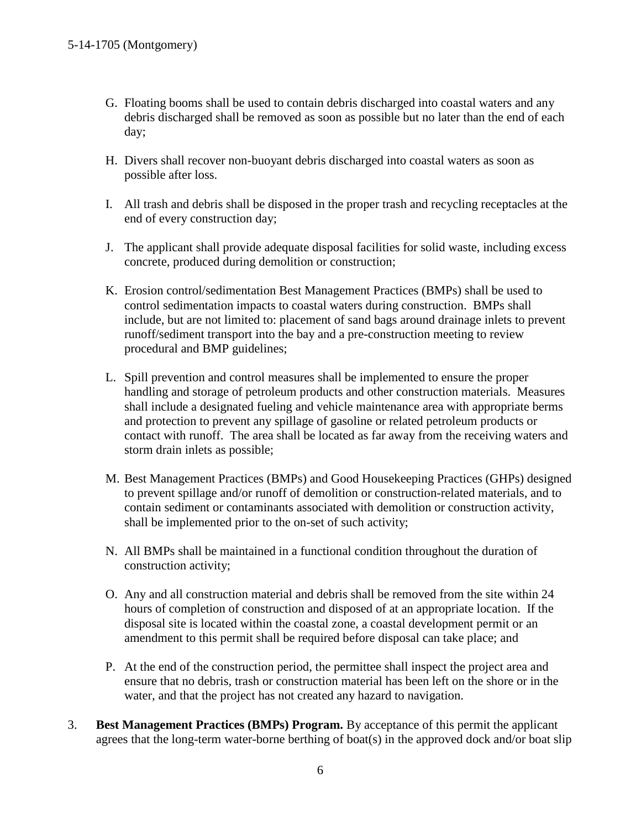- <span id="page-5-0"></span>G. Floating booms shall be used to contain debris discharged into coastal waters and any debris discharged shall be removed as soon as possible but no later than the end of each day;
- H. Divers shall recover non-buoyant debris discharged into coastal waters as soon as possible after loss.
- I. All trash and debris shall be disposed in the proper trash and recycling receptacles at the end of every construction day;
- J. The applicant shall provide adequate disposal facilities for solid waste, including excess concrete, produced during demolition or construction;
- K. Erosion control/sedimentation Best Management Practices (BMPs) shall be used to control sedimentation impacts to coastal waters during construction. BMPs shall include, but are not limited to: placement of sand bags around drainage inlets to prevent runoff/sediment transport into the bay and a pre-construction meeting to review procedural and BMP guidelines;
- L. Spill prevention and control measures shall be implemented to ensure the proper handling and storage of petroleum products and other construction materials. Measures shall include a designated fueling and vehicle maintenance area with appropriate berms and protection to prevent any spillage of gasoline or related petroleum products or contact with runoff. The area shall be located as far away from the receiving waters and storm drain inlets as possible;
- M. Best Management Practices (BMPs) and Good Housekeeping Practices (GHPs) designed to prevent spillage and/or runoff of demolition or construction-related materials, and to contain sediment or contaminants associated with demolition or construction activity, shall be implemented prior to the on-set of such activity;
- N. All BMPs shall be maintained in a functional condition throughout the duration of construction activity;
- O. Any and all construction material and debris shall be removed from the site within 24 hours of completion of construction and disposed of at an appropriate location. If the disposal site is located within the coastal zone, a coastal development permit or an amendment to this permit shall be required before disposal can take place; and
- P. At the end of the construction period, the permittee shall inspect the project area and ensure that no debris, trash or construction material has been left on the shore or in the water, and that the project has not created any hazard to navigation.
- 3. **Best Management Practices (BMPs) Program.** By acceptance of this permit the applicant agrees that the long-term water-borne berthing of boat(s) in the approved dock and/or boat slip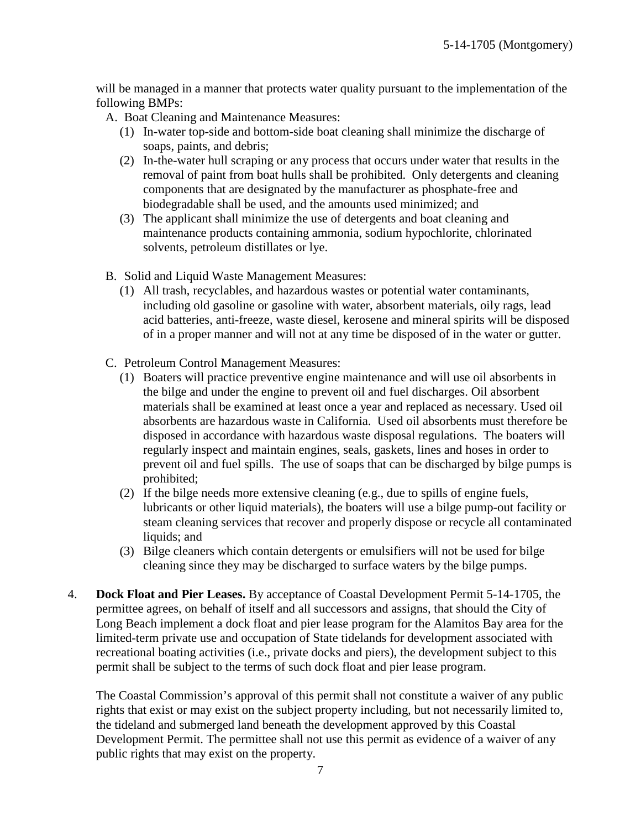<span id="page-6-0"></span>will be managed in a manner that protects water quality pursuant to the implementation of the following BMPs:

A. Boat Cleaning and Maintenance Measures:

- (1) In-water top-side and bottom-side boat cleaning shall minimize the discharge of soaps, paints, and debris;
- (2) In-the-water hull scraping or any process that occurs under water that results in the removal of paint from boat hulls shall be prohibited. Only detergents and cleaning components that are designated by the manufacturer as phosphate-free and biodegradable shall be used, and the amounts used minimized; and
- (3) The applicant shall minimize the use of detergents and boat cleaning and maintenance products containing ammonia, sodium hypochlorite, chlorinated solvents, petroleum distillates or lye.
- B. Solid and Liquid Waste Management Measures:
	- (1) All trash, recyclables, and hazardous wastes or potential water contaminants, including old gasoline or gasoline with water, absorbent materials, oily rags, lead acid batteries, anti-freeze, waste diesel, kerosene and mineral spirits will be disposed of in a proper manner and will not at any time be disposed of in the water or gutter.
- C. Petroleum Control Management Measures:
	- (1) Boaters will practice preventive engine maintenance and will use oil absorbents in the bilge and under the engine to prevent oil and fuel discharges. Oil absorbent materials shall be examined at least once a year and replaced as necessary. Used oil absorbents are hazardous waste in California. Used oil absorbents must therefore be disposed in accordance with hazardous waste disposal regulations. The boaters will regularly inspect and maintain engines, seals, gaskets, lines and hoses in order to prevent oil and fuel spills. The use of soaps that can be discharged by bilge pumps is prohibited;
	- (2) If the bilge needs more extensive cleaning (e.g., due to spills of engine fuels, lubricants or other liquid materials), the boaters will use a bilge pump-out facility or steam cleaning services that recover and properly dispose or recycle all contaminated liquids; and
	- (3) Bilge cleaners which contain detergents or emulsifiers will not be used for bilge cleaning since they may be discharged to surface waters by the bilge pumps.
- 4. **Dock Float and Pier Leases.** By acceptance of Coastal Development Permit 5-14-1705, the permittee agrees, on behalf of itself and all successors and assigns, that should the City of Long Beach implement a dock float and pier lease program for the Alamitos Bay area for the limited-term private use and occupation of State tidelands for development associated with recreational boating activities (i.e., private docks and piers), the development subject to this permit shall be subject to the terms of such dock float and pier lease program.

The Coastal Commission's approval of this permit shall not constitute a waiver of any public rights that exist or may exist on the subject property including, but not necessarily limited to, the tideland and submerged land beneath the development approved by this Coastal Development Permit. The permittee shall not use this permit as evidence of a waiver of any public rights that may exist on the property.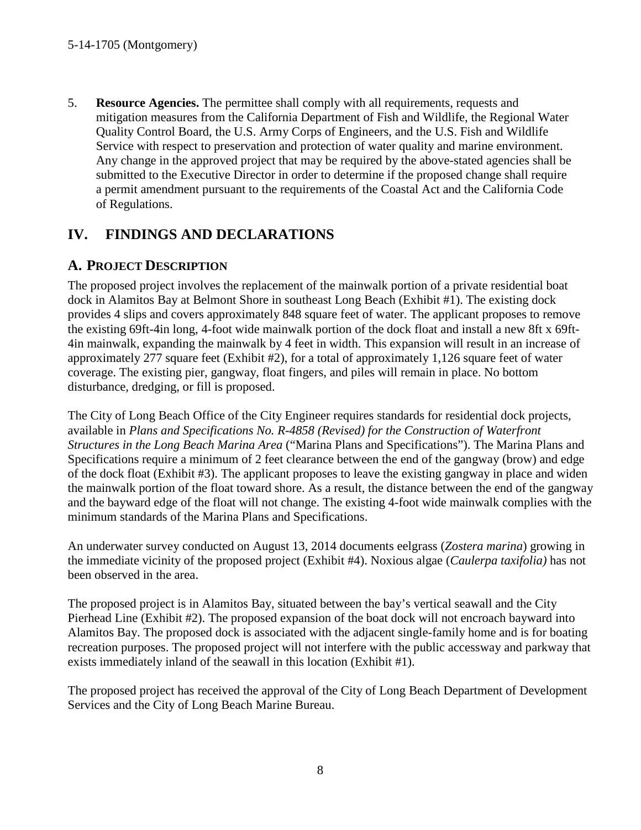5. **Resource Agencies.** The permittee shall comply with all requirements, requests and mitigation measures from the California Department of Fish and Wildlife, the Regional Water Quality Control Board, the U.S. Army Corps of Engineers, and the U.S. Fish and Wildlife Service with respect to preservation and protection of water quality and marine environment. Any change in the approved project that may be required by the above-stated agencies shall be submitted to the Executive Director in order to determine if the proposed change shall require a permit amendment pursuant to the requirements of the Coastal Act and the California Code of Regulations.

# <span id="page-7-0"></span>**IV. FINDINGS AND DECLARATIONS**

# <span id="page-7-1"></span>**A. PROJECT DESCRIPTION**

The proposed project involves the replacement of the mainwalk portion of a private residential boat dock in Alamitos Bay at Belmont Shore in southeast Long Beach [\(Exhibit #1\)](#page-14-0). The existing dock provides 4 slips and covers approximately 848 square feet of water. The applicant proposes to remove the existing 69ft-4in long, 4-foot wide mainwalk portion of the dock float and install a new 8ft x 69ft-4in mainwalk, expanding the mainwalk by 4 feet in width. This expansion will result in an increase of approximately 277 square feet [\(Exhibit #2\)](#page-16-0), for a total of approximately 1,126 square feet of water coverage. The existing pier, gangway, float fingers, and piles will remain in place. No bottom disturbance, dredging, or fill is proposed.

The City of Long Beach Office of the City Engineer requires standards for residential dock projects, available in *Plans and Specifications No. R-4858 (Revised) for the Construction of Waterfront Structures in the Long Beach Marina Area* ("Marina Plans and Specifications"). The Marina Plans and Specifications require a minimum of 2 feet clearance between the end of the gangway (brow) and edge of the dock float [\(Exhibit #3\)](#page-17-0). The applicant proposes to leave the existing gangway in place and widen the mainwalk portion of the float toward shore. As a result, the distance between the end of the gangway and the bayward edge of the float will not change. The existing 4-foot wide mainwalk complies with the minimum standards of the Marina Plans and Specifications.

An underwater survey conducted on August 13, 2014 documents eelgrass (*Zostera marina*) growing in the immediate vicinity of the proposed project [\(Exhibit #4\).](#page-19-0) Noxious algae (*Caulerpa taxifolia)* has not been observed in the area.

The proposed project is in Alamitos Bay, situated between the bay's vertical seawall and the City Pierhead Line [\(Exhibit #2\)](#page-16-0). The proposed expansion of the boat dock will not encroach bayward into Alamitos Bay. The proposed dock is associated with the adjacent single-family home and is for boating recreation purposes. The proposed project will not interfere with the public accessway and parkway that exists immediately inland of the seawall in this location [\(Exhibit #1\)](#page-14-0).

The proposed project has received the approval of the City of Long Beach Department of Development Services and the City of Long Beach Marine Bureau.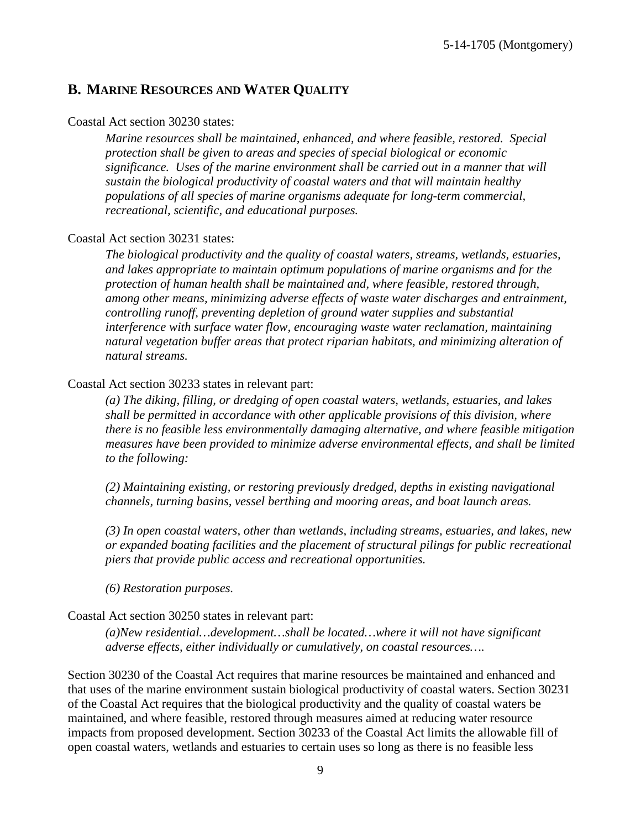## <span id="page-8-0"></span>**B. MARINE RESOURCES AND WATER QUALITY**

#### Coastal Act section 30230 states:

*Marine resources shall be maintained, enhanced, and where feasible, restored. Special protection shall be given to areas and species of special biological or economic significance. Uses of the marine environment shall be carried out in a manner that will sustain the biological productivity of coastal waters and that will maintain healthy populations of all species of marine organisms adequate for long-term commercial, recreational, scientific, and educational purposes.* 

#### Coastal Act section 30231 states:

*The biological productivity and the quality of coastal waters, streams, wetlands, estuaries, and lakes appropriate to maintain optimum populations of marine organisms and for the protection of human health shall be maintained and, where feasible, restored through, among other means, minimizing adverse effects of waste water discharges and entrainment, controlling runoff, preventing depletion of ground water supplies and substantial interference with surface water flow, encouraging waste water reclamation, maintaining natural vegetation buffer areas that protect riparian habitats, and minimizing alteration of natural streams.* 

#### Coastal Act section 30233 states in relevant part:

*(a) The diking, filling, or dredging of open coastal waters, wetlands, estuaries, and lakes shall be permitted in accordance with other applicable provisions of this division, where there is no feasible less environmentally damaging alternative, and where feasible mitigation measures have been provided to minimize adverse environmental effects, and shall be limited to the following:* 

*(2) Maintaining existing, or restoring previously dredged, depths in existing navigational channels, turning basins, vessel berthing and mooring areas, and boat launch areas.* 

*(3) In open coastal waters, other than wetlands, including streams, estuaries, and lakes, new or expanded boating facilities and the placement of structural pilings for public recreational piers that provide public access and recreational opportunities.* 

*(6) Restoration purposes.* 

#### Coastal Act section 30250 states in relevant part:

*(a)New residential…development…shall be located…where it will not have significant adverse effects, either individually or cumulatively, on coastal resources….*

Section 30230 of the Coastal Act requires that marine resources be maintained and enhanced and that uses of the marine environment sustain biological productivity of coastal waters. Section 30231 of the Coastal Act requires that the biological productivity and the quality of coastal waters be maintained, and where feasible, restored through measures aimed at reducing water resource impacts from proposed development. Section 30233 of the Coastal Act limits the allowable fill of open coastal waters, wetlands and estuaries to certain uses so long as there is no feasible less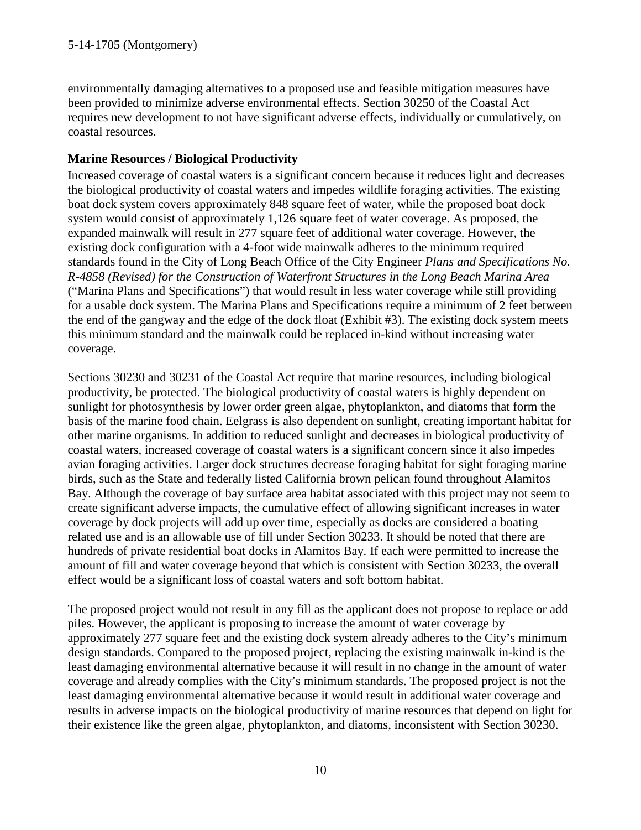environmentally damaging alternatives to a proposed use and feasible mitigation measures have been provided to minimize adverse environmental effects. Section 30250 of the Coastal Act requires new development to not have significant adverse effects, individually or cumulatively, on coastal resources.

## <span id="page-9-0"></span>**Marine Resources / Biological Productivity**

Increased coverage of coastal waters is a significant concern because it reduces light and decreases the biological productivity of coastal waters and impedes wildlife foraging activities. The existing boat dock system covers approximately 848 square feet of water, while the proposed boat dock system would consist of approximately 1,126 square feet of water coverage. As proposed, the expanded mainwalk will result in 277 square feet of additional water coverage. However, the existing dock configuration with a 4-foot wide mainwalk adheres to the minimum required standards found in the City of Long Beach Office of the City Engineer *Plans and Specifications No. R-4858 (Revised) for the Construction of Waterfront Structures in the Long Beach Marina Area* ("Marina Plans and Specifications") that would result in less water coverage while still providing for a usable dock system. The Marina Plans and Specifications require a minimum of 2 feet between the end of the gangway and the edge of the dock float [\(Exhibit #3\)](#page-17-0). The existing dock system meets this minimum standard and the mainwalk could be replaced in-kind without increasing water coverage.

Sections 30230 and 30231 of the Coastal Act require that marine resources, including biological productivity, be protected. The biological productivity of coastal waters is highly dependent on sunlight for photosynthesis by lower order green algae, phytoplankton, and diatoms that form the basis of the marine food chain. Eelgrass is also dependent on sunlight, creating important habitat for other marine organisms. In addition to reduced sunlight and decreases in biological productivity of coastal waters, increased coverage of coastal waters is a significant concern since it also impedes avian foraging activities. Larger dock structures decrease foraging habitat for sight foraging marine birds, such as the State and federally listed California brown pelican found throughout Alamitos Bay. Although the coverage of bay surface area habitat associated with this project may not seem to create significant adverse impacts, the cumulative effect of allowing significant increases in water coverage by dock projects will add up over time, especially as docks are considered a boating related use and is an allowable use of fill under Section 30233. It should be noted that there are hundreds of private residential boat docks in Alamitos Bay. If each were permitted to increase the amount of fill and water coverage beyond that which is consistent with Section 30233, the overall effect would be a significant loss of coastal waters and soft bottom habitat.

The proposed project would not result in any fill as the applicant does not propose to replace or add piles. However, the applicant is proposing to increase the amount of water coverage by approximately 277 square feet and the existing dock system already adheres to the City's minimum design standards. Compared to the proposed project, replacing the existing mainwalk in-kind is the least damaging environmental alternative because it will result in no change in the amount of water coverage and already complies with the City's minimum standards. The proposed project is not the least damaging environmental alternative because it would result in additional water coverage and results in adverse impacts on the biological productivity of marine resources that depend on light for their existence like the green algae, phytoplankton, and diatoms, inconsistent with Section 30230.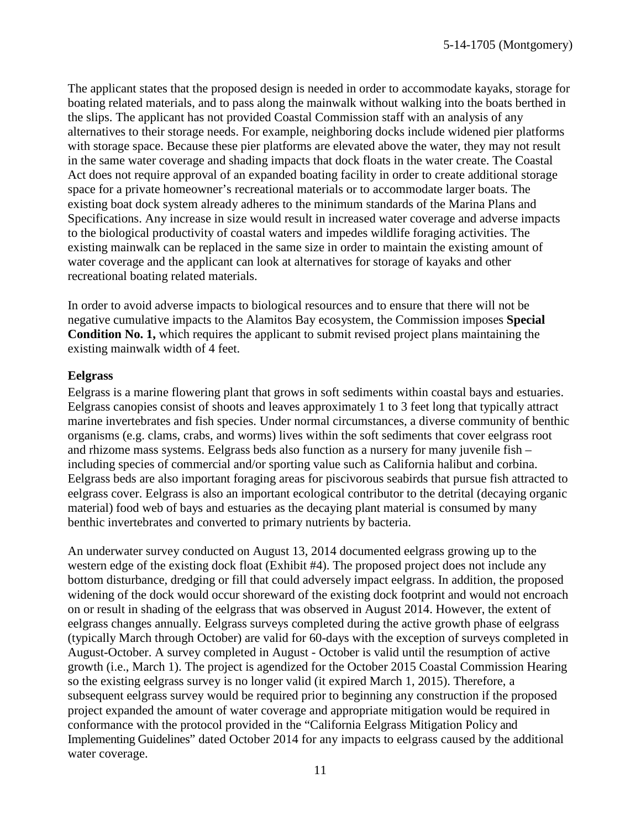The applicant states that the proposed design is needed in order to accommodate kayaks, storage for boating related materials, and to pass along the mainwalk without walking into the boats berthed in the slips. The applicant has not provided Coastal Commission staff with an analysis of any alternatives to their storage needs. For example, neighboring docks include widened pier platforms with storage space. Because these pier platforms are elevated above the water, they may not result in the same water coverage and shading impacts that dock floats in the water create. The Coastal Act does not require approval of an expanded boating facility in order to create additional storage space for a private homeowner's recreational materials or to accommodate larger boats. The existing boat dock system already adheres to the minimum standards of the Marina Plans and Specifications. Any increase in size would result in increased water coverage and adverse impacts to the biological productivity of coastal waters and impedes wildlife foraging activities. The existing mainwalk can be replaced in the same size in order to maintain the existing amount of water coverage and the applicant can look at alternatives for storage of kayaks and other recreational boating related materials.

In order to avoid adverse impacts to biological resources and to ensure that there will not be negative cumulative impacts to the Alamitos Bay ecosystem, the Commission imposes **Special [Condition No. 1,](#page-4-1)** which requires the applicant to submit revised project plans maintaining the existing mainwalk width of 4 feet.

### <span id="page-10-0"></span>**Eelgrass**

Eelgrass is a marine flowering plant that grows in soft sediments within coastal bays and estuaries. Eelgrass canopies consist of shoots and leaves approximately 1 to 3 feet long that typically attract marine invertebrates and fish species. Under normal circumstances, a diverse community of benthic organisms (e.g. clams, crabs, and worms) lives within the soft sediments that cover eelgrass root and rhizome mass systems. Eelgrass beds also function as a nursery for many juvenile fish – including species of commercial and/or sporting value such as California halibut and corbina. Eelgrass beds are also important foraging areas for piscivorous seabirds that pursue fish attracted to eelgrass cover. Eelgrass is also an important ecological contributor to the detrital (decaying organic material) food web of bays and estuaries as the decaying plant material is consumed by many benthic invertebrates and converted to primary nutrients by bacteria.

An underwater survey conducted on August 13, 2014 documented eelgrass growing up to the western edge of the existing dock float ([Exhibit #4](#page-19-0)). The proposed project does not include any bottom disturbance, dredging or fill that could adversely impact eelgrass. In addition, the proposed widening of the dock would occur shoreward of the existing dock footprint and would not encroach on or result in shading of the eelgrass that was observed in August 2014. However, the extent of eelgrass changes annually. Eelgrass surveys completed during the active growth phase of eelgrass (typically March through October) are valid for 60-days with the exception of surveys completed in August-October. A survey completed in August - October is valid until the resumption of active growth (i.e., March 1). The project is agendized for the October 2015 Coastal Commission Hearing so the existing eelgrass survey is no longer valid (it expired March 1, 2015). Therefore, a subsequent eelgrass survey would be required prior to beginning any construction if the proposed project expanded the amount of water coverage and appropriate mitigation would be required in conformance with the protocol provided in the "California Eelgrass Mitigation Policy and Implementing Guidelines" dated October 2014 for any impacts to eelgrass caused by the additional water coverage.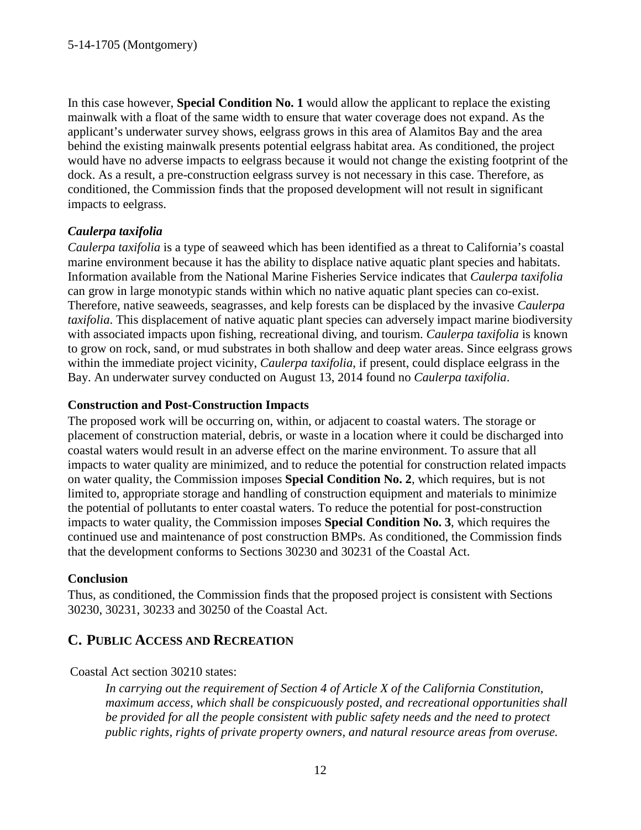In this case however, **[Special Condition No. 1](#page-4-1)** would allow the applicant to replace the existing mainwalk with a float of the same width to ensure that water coverage does not expand. As the applicant's underwater survey shows, eelgrass grows in this area of Alamitos Bay and the area behind the existing mainwalk presents potential eelgrass habitat area. As conditioned, the project would have no adverse impacts to eelgrass because it would not change the existing footprint of the dock. As a result, a pre-construction eelgrass survey is not necessary in this case. Therefore, as conditioned, the Commission finds that the proposed development will not result in significant impacts to eelgrass.

## <span id="page-11-0"></span>*Caulerpa taxifolia*

*Caulerpa taxifolia* is a type of seaweed which has been identified as a threat to California's coastal marine environment because it has the ability to displace native aquatic plant species and habitats. Information available from the National Marine Fisheries Service indicates that *Caulerpa taxifolia*  can grow in large monotypic stands within which no native aquatic plant species can co-exist. Therefore, native seaweeds, seagrasses, and kelp forests can be displaced by the invasive *Caulerpa taxifolia*. This displacement of native aquatic plant species can adversely impact marine biodiversity with associated impacts upon fishing, recreational diving, and tourism. *Caulerpa taxifolia* is known to grow on rock, sand, or mud substrates in both shallow and deep water areas. Since eelgrass grows within the immediate project vicinity, *Caulerpa taxifolia*, if present, could displace eelgrass in the Bay. An underwater survey conducted on August 13, 2014 found no *Caulerpa taxifolia*.

## <span id="page-11-1"></span>**Construction and Post-Construction Impacts**

The proposed work will be occurring on, within, or adjacent to coastal waters. The storage or placement of construction material, debris, or waste in a location where it could be discharged into coastal waters would result in an adverse effect on the marine environment. To assure that all impacts to water quality are minimized, and to reduce the potential for construction related impacts on water quality, the Commission imposes **[Special Condition No. 2](#page-4-1)**, which requires, but is not limited to, appropriate storage and handling of construction equipment and materials to minimize the potential of pollutants to enter coastal waters. To reduce the potential for post-construction impacts to water quality, the Commission imposes **[Special Condition No. 3](#page-5-0)**, which requires the continued use and maintenance of post construction BMPs. As conditioned, the Commission finds that the development conforms to Sections 30230 and 30231 of the Coastal Act.

## <span id="page-11-2"></span>**Conclusion**

Thus, as conditioned, the Commission finds that the proposed project is consistent with Sections 30230, 30231, 30233 and 30250 of the Coastal Act.

# <span id="page-11-3"></span>**C. PUBLIC ACCESS AND RECREATION**

## Coastal Act section 30210 states:

*In carrying out the requirement of Section 4 of Article X of the California Constitution, maximum access, which shall be conspicuously posted, and recreational opportunities shall be provided for all the people consistent with public safety needs and the need to protect public rights, rights of private property owners, and natural resource areas from overuse.*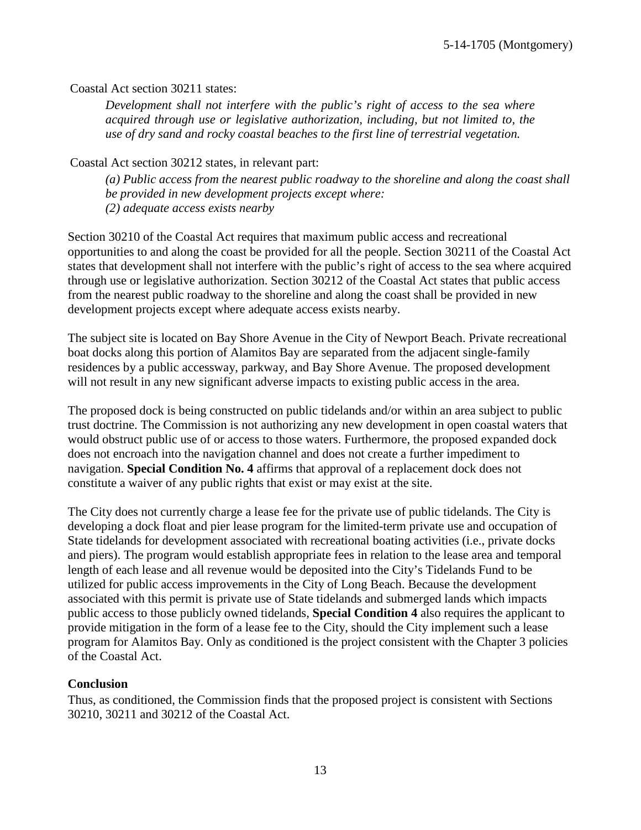Coastal Act section 30211 states:

*Development shall not interfere with the public's right of access to the sea where acquired through use or legislative authorization, including, but not limited to, the use of dry sand and rocky coastal beaches to the first line of terrestrial vegetation.* 

Coastal Act section 30212 states, in relevant part:

*(a) Public access from the nearest public roadway to the shoreline and along the coast shall be provided in new development projects except where: (2) adequate access exists nearby*

Section 30210 of the Coastal Act requires that maximum public access and recreational opportunities to and along the coast be provided for all the people. Section 30211 of the Coastal Act states that development shall not interfere with the public's right of access to the sea where acquired through use or legislative authorization. Section 30212 of the Coastal Act states that public access from the nearest public roadway to the shoreline and along the coast shall be provided in new development projects except where adequate access exists nearby.

The subject site is located on Bay Shore Avenue in the City of Newport Beach. Private recreational boat docks along this portion of Alamitos Bay are separated from the adjacent single-family residences by a public accessway, parkway, and Bay Shore Avenue. The proposed development will not result in any new significant adverse impacts to existing public access in the area.

The proposed dock is being constructed on public tidelands and/or within an area subject to public trust doctrine. The Commission is not authorizing any new development in open coastal waters that would obstruct public use of or access to those waters. Furthermore, the proposed expanded dock does not encroach into the navigation channel and does not create a further impediment to navigation. **[Special Condition No. 4](#page-6-0)** affirms that approval of a replacement dock does not constitute a waiver of any public rights that exist or may exist at the site.

The City does not currently charge a lease fee for the private use of public tidelands. The City is developing a dock float and pier lease program for the limited-term private use and occupation of State tidelands for development associated with recreational boating activities (i.e., private docks and piers). The program would establish appropriate fees in relation to the lease area and temporal length of each lease and all revenue would be deposited into the City's Tidelands Fund to be utilized for public access improvements in the City of Long Beach. Because the development associated with this permit is private use of State tidelands and submerged lands which impacts public access to those publicly owned tidelands, **[Special Condition 4](#page-6-0)** also requires the applicant to provide mitigation in the form of a lease fee to the City, should the City implement such a lease program for Alamitos Bay. Only as conditioned is the project consistent with the Chapter 3 policies of the Coastal Act.

## <span id="page-12-0"></span>**Conclusion**

Thus, as conditioned, the Commission finds that the proposed project is consistent with Sections 30210, 30211 and 30212 of the Coastal Act.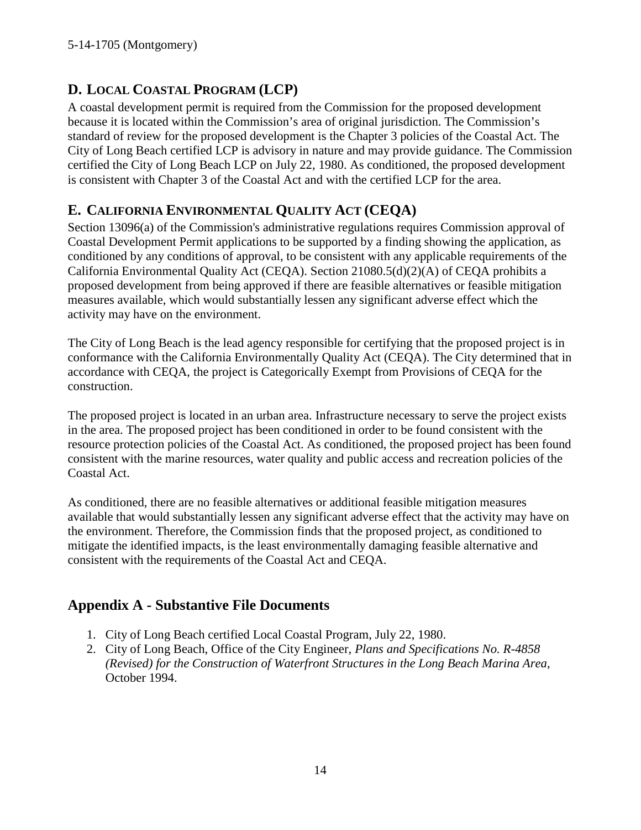# <span id="page-13-0"></span>**D. LOCAL COASTAL PROGRAM (LCP)**

A coastal development permit is required from the Commission for the proposed development because it is located within the Commission's area of original jurisdiction. The Commission's standard of review for the proposed development is the Chapter 3 policies of the Coastal Act. The City of Long Beach certified LCP is advisory in nature and may provide guidance. The Commission certified the City of Long Beach LCP on July 22, 1980. As conditioned, the proposed development is consistent with Chapter 3 of the Coastal Act and with the certified LCP for the area.

# <span id="page-13-1"></span>**E. CALIFORNIA ENVIRONMENTAL QUALITY ACT (CEQA)**

Section 13096(a) of the Commission's administrative regulations requires Commission approval of Coastal Development Permit applications to be supported by a finding showing the application, as conditioned by any conditions of approval, to be consistent with any applicable requirements of the California Environmental Quality Act (CEQA). Section 21080.5(d)(2)(A) of CEQA prohibits a proposed development from being approved if there are feasible alternatives or feasible mitigation measures available, which would substantially lessen any significant adverse effect which the activity may have on the environment.

The City of Long Beach is the lead agency responsible for certifying that the proposed project is in conformance with the California Environmentally Quality Act (CEQA). The City determined that in accordance with CEQA, the project is Categorically Exempt from Provisions of CEQA for the construction.

The proposed project is located in an urban area. Infrastructure necessary to serve the project exists in the area. The proposed project has been conditioned in order to be found consistent with the resource protection policies of the Coastal Act. As conditioned, the proposed project has been found consistent with the marine resources, water quality and public access and recreation policies of the Coastal Act.

As conditioned, there are no feasible alternatives or additional feasible mitigation measures available that would substantially lessen any significant adverse effect that the activity may have on the environment. Therefore, the Commission finds that the proposed project, as conditioned to mitigate the identified impacts, is the least environmentally damaging feasible alternative and consistent with the requirements of the Coastal Act and CEQA.

# <span id="page-13-2"></span>**Appendix A - Substantive File Documents**

- 1. City of Long Beach certified Local Coastal Program, July 22, 1980.
- 2. City of Long Beach, Office of the City Engineer, *Plans and Specifications No. R-4858 (Revised) for the Construction of Waterfront Structures in the Long Beach Marina Area*, October 1994.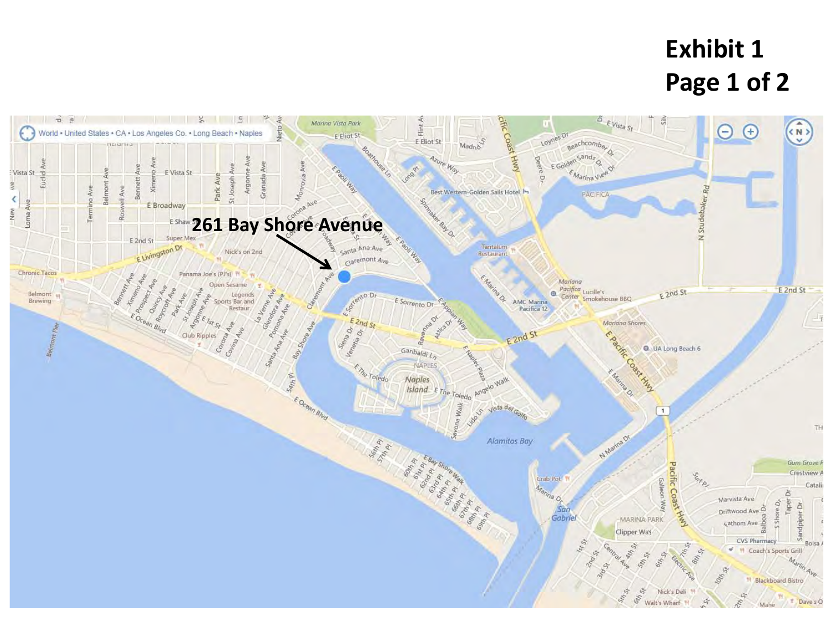# **Exhibit 1 Page 1 of 2**

<span id="page-14-0"></span>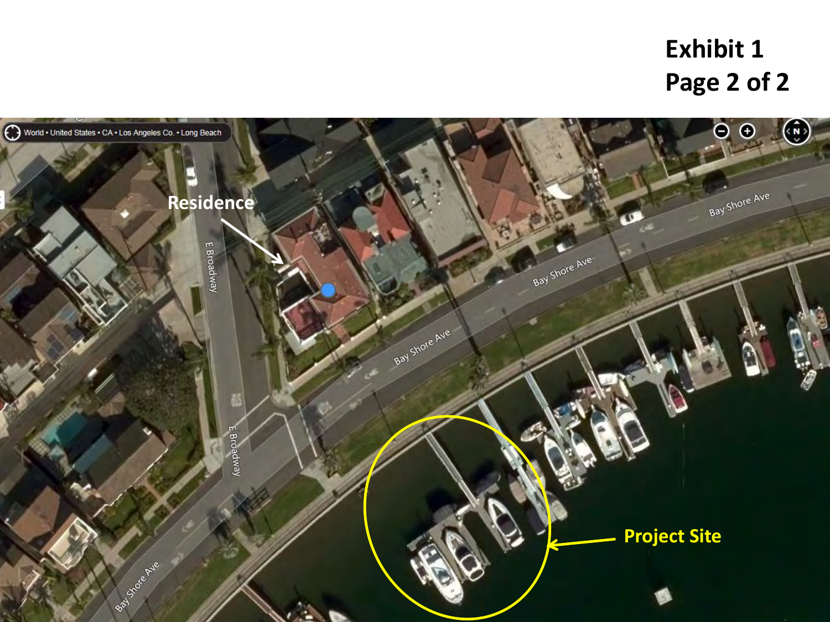# **Exhibit 1 Page 2 of 2**

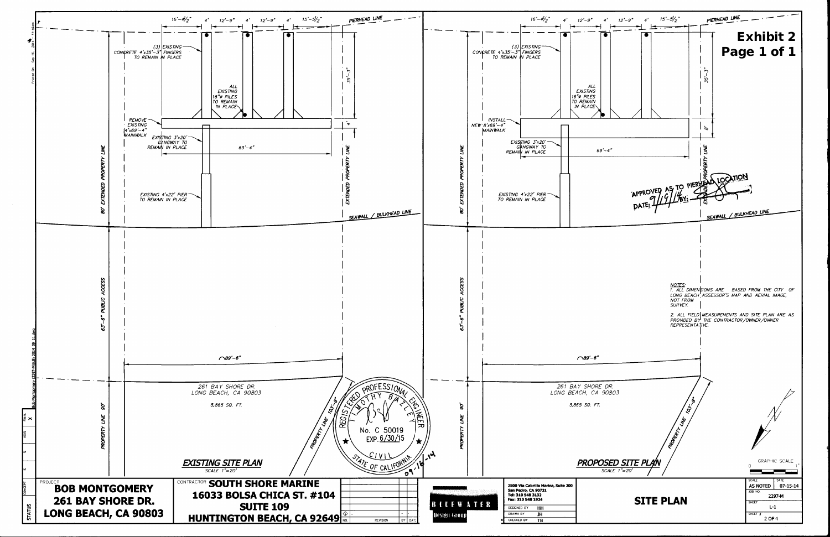<span id="page-16-0"></span>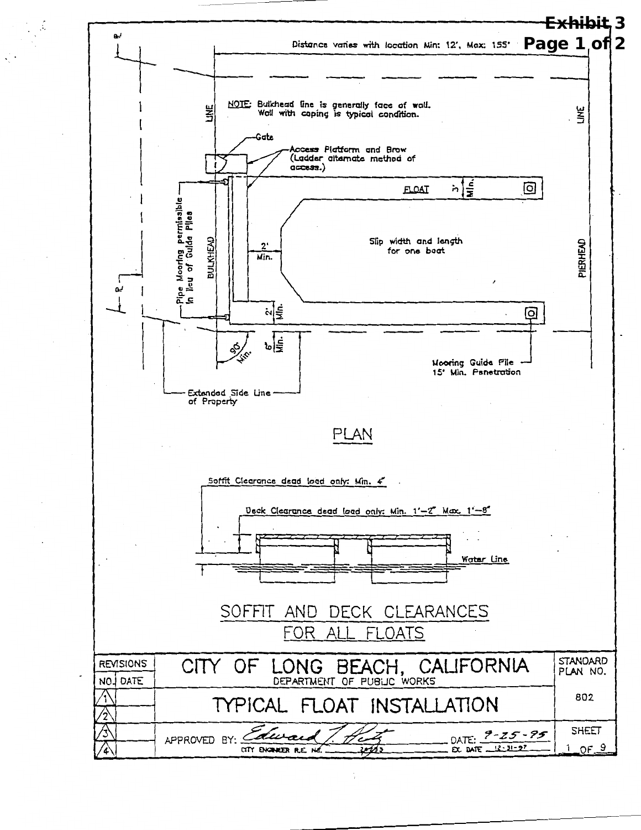<span id="page-17-0"></span>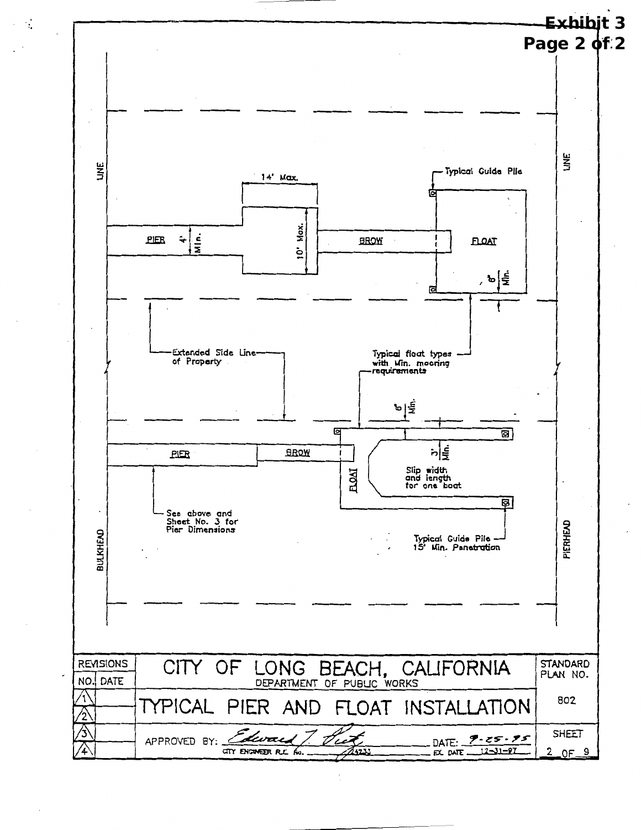

 $\ddot{\phantom{a}}$